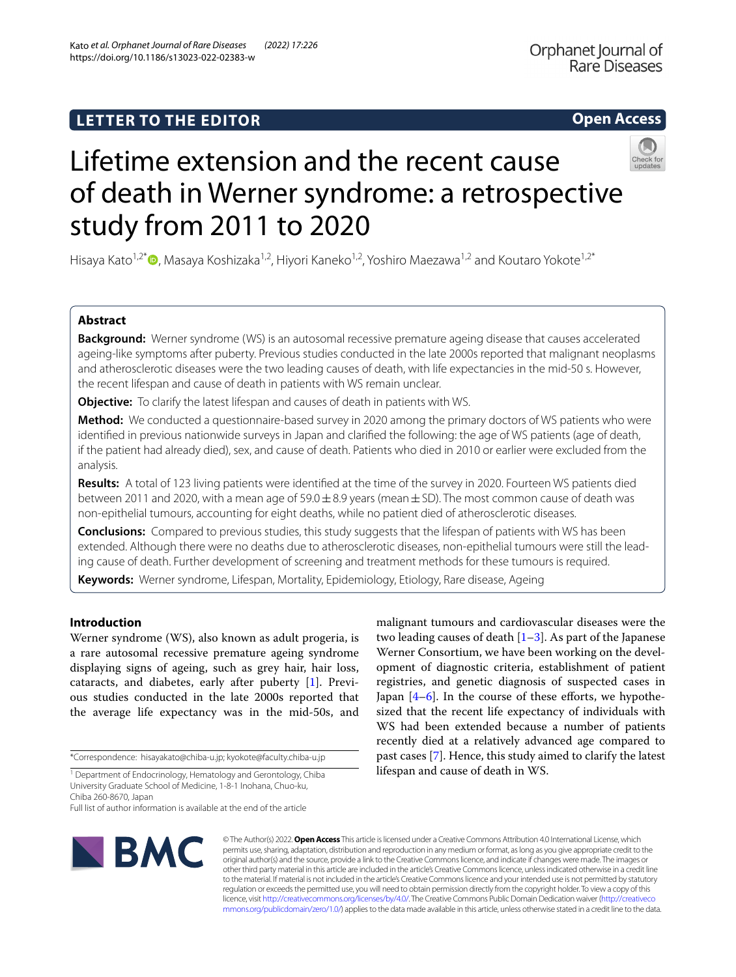## **Open Access**

Orphanet Journal of Rare Diseases

# Lifetime extension and the recent cause of death in Werner syndrome: a retrospective study from 2011 to 2020

Hisaya Kato<sup>1[,](http://orcid.org/0000-0002-5964-6856)2\*</sup>  $\bullet$ , Masaya Koshizaka<sup>1,2</sup>, Hiyori Kaneko<sup>1,2</sup>, Yoshiro Maezawa<sup>1,2</sup> and Koutaro Yokote<sup>1,2\*</sup>

## **Abstract**

**Background:** Werner syndrome (WS) is an autosomal recessive premature ageing disease that causes accelerated ageing-like symptoms after puberty. Previous studies conducted in the late 2000s reported that malignant neoplasms and atherosclerotic diseases were the two leading causes of death, with life expectancies in the mid-50 s. However, the recent lifespan and cause of death in patients with WS remain unclear.

**Objective:** To clarify the latest lifespan and causes of death in patients with WS.

**Method:** We conducted a questionnaire-based survey in 2020 among the primary doctors of WS patients who were identifed in previous nationwide surveys in Japan and clarifed the following: the age of WS patients (age of death, if the patient had already died), sex, and cause of death. Patients who died in 2010 or earlier were excluded from the analysis.

**Results:** A total of 123 living patients were identifed at the time of the survey in 2020. Fourteen WS patients died between 2011 and 2020, with a mean age of  $59.0 \pm 8.9$  years (mean  $\pm$  SD). The most common cause of death was non-epithelial tumours, accounting for eight deaths, while no patient died of atherosclerotic diseases.

**Conclusions:** Compared to previous studies, this study suggests that the lifespan of patients with WS has been extended. Although there were no deaths due to atherosclerotic diseases, non-epithelial tumours were still the leading cause of death. Further development of screening and treatment methods for these tumours is required.

**Keywords:** Werner syndrome, Lifespan, Mortality, Epidemiology, Etiology, Rare disease, Ageing

## **Introduction**

Werner syndrome (WS), also known as adult progeria, is a rare autosomal recessive premature ageing syndrome displaying signs of ageing, such as grey hair, hair loss, cataracts, and diabetes, early after puberty [\[1](#page-2-0)]. Previous studies conducted in the late 2000s reported that the average life expectancy was in the mid-50s, and

\*Correspondence: hisayakato@chiba-u.jp; kyokote@faculty.chiba-u.jp

<sup>1</sup> Department of Endocrinology, Hematology and Gerontology, Chiba University Graduate School of Medicine, 1-8-1 Inohana, Chuo-ku, Chiba 260-8670, Japan

Full list of author information is available at the end of the article

malignant tumours and cardiovascular diseases were the two leading causes of death  $[1-3]$  $[1-3]$  $[1-3]$ . As part of the Japanese Werner Consortium, we have been working on the development of diagnostic criteria, establishment of patient registries, and genetic diagnosis of suspected cases in Japan  $[4-6]$  $[4-6]$ . In the course of these efforts, we hypothesized that the recent life expectancy of individuals with WS had been extended because a number of patients recently died at a relatively advanced age compared to past cases [[7\]](#page-3-0). Hence, this study aimed to clarify the latest lifespan and cause of death in WS.



© The Author(s) 2022. **Open Access** This article is licensed under a Creative Commons Attribution 4.0 International License, which permits use, sharing, adaptation, distribution and reproduction in any medium or format, as long as you give appropriate credit to the original author(s) and the source, provide a link to the Creative Commons licence, and indicate if changes were made. The images or other third party material in this article are included in the article's Creative Commons licence, unless indicated otherwise in a credit line to the material. If material is not included in the article's Creative Commons licence and your intended use is not permitted by statutory regulation or exceeds the permitted use, you will need to obtain permission directly from the copyright holder. To view a copy of this licence, visit [http://creativecommons.org/licenses/by/4.0/.](http://creativecommons.org/licenses/by/4.0/) The Creative Commons Public Domain Dedication waiver ([http://creativeco](http://creativecommons.org/publicdomain/zero/1.0/) [mmons.org/publicdomain/zero/1.0/](http://creativecommons.org/publicdomain/zero/1.0/)) applies to the data made available in this article, unless otherwise stated in a credit line to the data.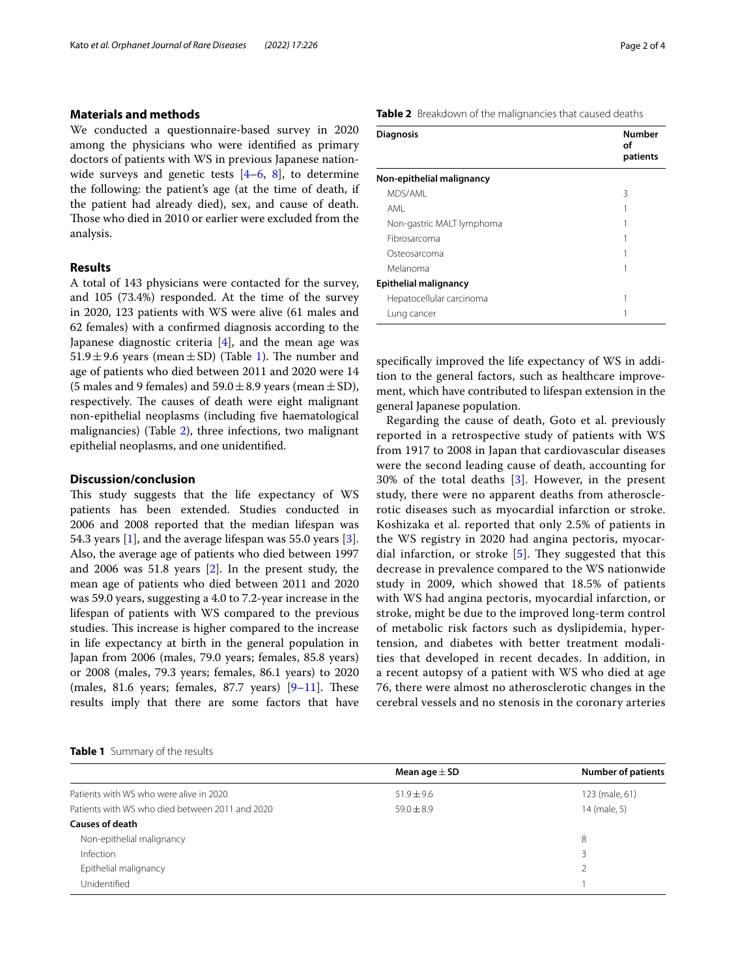#### **Materials and methods**

We conducted a questionnaire-based survey in 2020 among the physicians who were identifed as primary doctors of patients with WS in previous Japanese nationwide surveys and genetic tests  $[4-6, 8]$  $[4-6, 8]$  $[4-6, 8]$  $[4-6, 8]$ , to determine the following: the patient's age (at the time of death, if the patient had already died), sex, and cause of death. Those who died in 2010 or earlier were excluded from the analysis.

## **Results**

A total of 143 physicians were contacted for the survey, and 105 (73.4%) responded. At the time of the survey in 2020, 123 patients with WS were alive (61 males and 62 females) with a confrmed diagnosis according to the Japanese diagnostic criteria [\[4](#page-2-2)], and the mean age was 5[1](#page-1-0).9 $\pm$ 9.6 years (mean $\pm$ SD) (Table 1). The number and age of patients who died between 2011 and 2020 were 14 (5 males and 9 females) and  $59.0 \pm 8.9$  years (mean  $\pm$  SD), respectively. The causes of death were eight malignant non-epithelial neoplasms (including fve haematological malignancies) (Table [2\)](#page-1-1), three infections, two malignant epithelial neoplasms, and one unidentifed.

#### **Discussion/conclusion**

This study suggests that the life expectancy of WS patients has been extended. Studies conducted in 2006 and 2008 reported that the median lifespan was 54.3 years  $[1]$  $[1]$ , and the average lifespan was 55.0 years  $[3]$  $[3]$ . Also, the average age of patients who died between 1997 and 2006 was 51.8 years [[2\]](#page-2-4). In the present study, the mean age of patients who died between 2011 and 2020 was 59.0 years, suggesting a 4.0 to 7.2-year increase in the lifespan of patients with WS compared to the previous studies. This increase is higher compared to the increase in life expectancy at birth in the general population in Japan from 2006 (males, 79.0 years; females, 85.8 years) or 2008 (males, 79.3 years; females, 86.1 years) to 2020 (males, 81.6 years; females, 87.7 years)  $[9-11]$  $[9-11]$ . These results imply that there are some factors that have

#### <span id="page-1-0"></span>**Table 1** Summary of the results

<span id="page-1-1"></span>**Table 2** Breakdown of the malignancies that caused deaths

| <b>Diagnosis</b>             | <b>Number</b><br>οf<br>patients |
|------------------------------|---------------------------------|
| Non-epithelial malignancy    |                                 |
| MDS/AMI                      | 3                               |
| AMI                          |                                 |
| Non-gastric MALT lymphoma    |                                 |
| Fibrosarcoma                 |                                 |
| Osteosarcoma                 |                                 |
| Melanoma                     |                                 |
| <b>Epithelial malignancy</b> |                                 |
| Hepatocellular carcinoma     |                                 |
| Lung cancer                  |                                 |

specifcally improved the life expectancy of WS in addition to the general factors, such as healthcare improvement, which have contributed to lifespan extension in the general Japanese population.

Regarding the cause of death, Goto et al. previously reported in a retrospective study of patients with WS from 1917 to 2008 in Japan that cardiovascular diseases were the second leading cause of death, accounting for 30% of the total deaths [[3\]](#page-2-1). However, in the present study, there were no apparent deaths from atherosclerotic diseases such as myocardial infarction or stroke. Koshizaka et al. reported that only 2.5% of patients in the WS registry in 2020 had angina pectoris, myocardial infarction, or stroke  $[5]$  $[5]$ . They suggested that this decrease in prevalence compared to the WS nationwide study in 2009, which showed that 18.5% of patients with WS had angina pectoris, myocardial infarction, or stroke, might be due to the improved long-term control of metabolic risk factors such as dyslipidemia, hypertension, and diabetes with better treatment modalities that developed in recent decades. In addition, in a recent autopsy of a patient with WS who died at age 76, there were almost no atherosclerotic changes in the cerebral vessels and no stenosis in the coronary arteries

|                                                 | Mean age $\pm$ SD | <b>Number of patients</b> |
|-------------------------------------------------|-------------------|---------------------------|
| Patients with WS who were alive in 2020         | $51.9 \pm 9.6$    | 123 (male, 61)            |
| Patients with WS who died between 2011 and 2020 | $59.0 \pm 8.9$    | 14 (male, 5)              |
| <b>Causes of death</b>                          |                   |                           |
| Non-epithelial malignancy                       |                   | 8                         |
| Infection                                       |                   | 3                         |
| Epithelial malignancy                           |                   |                           |
| Unidentified                                    |                   |                           |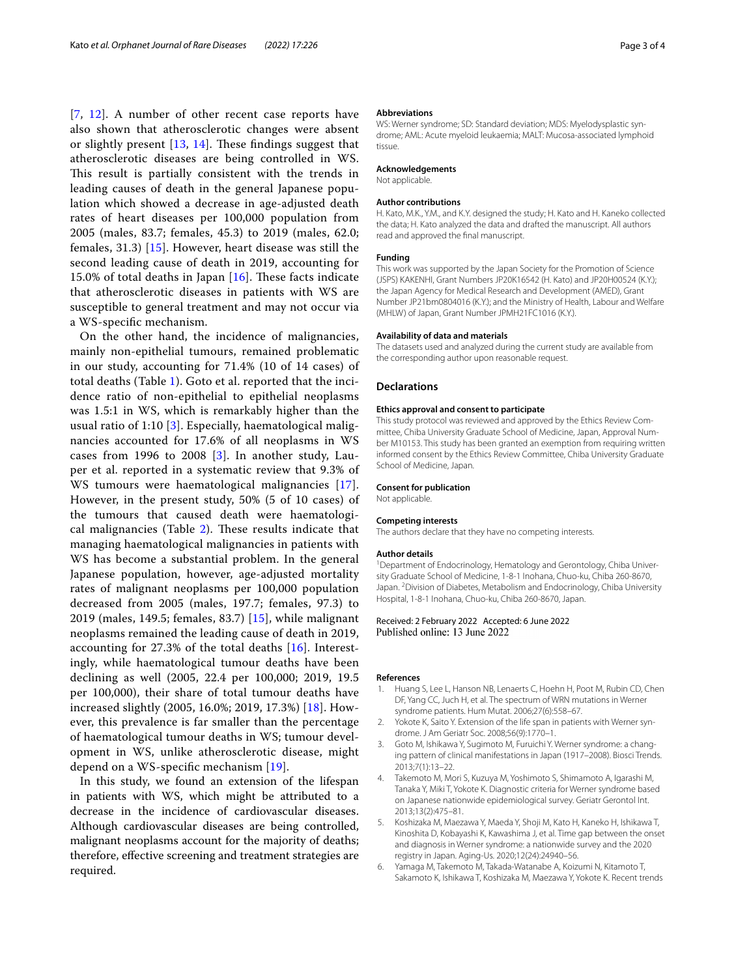[[7](#page-3-0), [12](#page-3-4)]. A number of other recent case reports have also shown that atherosclerotic changes were absent or slightly present  $[13, 14]$  $[13, 14]$  $[13, 14]$  $[13, 14]$ . These findings suggest that atherosclerotic diseases are being controlled in WS. This result is partially consistent with the trends in leading causes of death in the general Japanese population which showed a decrease in age-adjusted death rates of heart diseases per 100,000 population from 2005 (males, 83.7; females, 45.3) to 2019 (males, 62.0; females, 31.3) [[15](#page-3-7)]. However, heart disease was still the second leading cause of death in 2019, accounting for 15.0% of total deaths in Japan  $[16]$  $[16]$ . These facts indicate that atherosclerotic diseases in patients with WS are susceptible to general treatment and may not occur via a WS-specifc mechanism.

On the other hand, the incidence of malignancies, mainly non-epithelial tumours, remained problematic in our study, accounting for 71.4% (10 of 14 cases) of total deaths (Table [1](#page-1-0)). Goto et al. reported that the incidence ratio of non-epithelial to epithelial neoplasms was 1.5:1 in WS, which is remarkably higher than the usual ratio of 1:10  $\left[3\right]$ . Especially, haematological malignancies accounted for 17.6% of all neoplasms in WS cases from 1996 to 2008 [[3](#page-2-1)]. In another study, Lauper et al. reported in a systematic review that 9.3% of WS tumours were haematological malignancies [[17\]](#page-3-9). However, in the present study, 50% (5 of 10 cases) of the tumours that caused death were haematological malignancies (Table  $2$ ). These results indicate that managing haematological malignancies in patients with WS has become a substantial problem. In the general Japanese population, however, age-adjusted mortality rates of malignant neoplasms per 100,000 population decreased from 2005 (males, 197.7; females, 97.3) to 2019 (males, 149.5; females, 83.7) [\[15](#page-3-7)], while malignant neoplasms remained the leading cause of death in 2019, accounting for 27.3% of the total deaths [\[16\]](#page-3-8). Interestingly, while haematological tumour deaths have been declining as well (2005, 22.4 per 100,000; 2019, 19.5 per 100,000), their share of total tumour deaths have increased slightly (2005, 16.0%; 2019, 17.3%) [[18\]](#page-3-10). However, this prevalence is far smaller than the percentage of haematological tumour deaths in WS; tumour development in WS, unlike atherosclerotic disease, might depend on a WS-specifc mechanism [[19\]](#page-3-11).

In this study, we found an extension of the lifespan in patients with WS, which might be attributed to a decrease in the incidence of cardiovascular diseases. Although cardiovascular diseases are being controlled, malignant neoplasms account for the majority of deaths; therefore, efective screening and treatment strategies are required.

#### **Abbreviations**

WS: Werner syndrome; SD: Standard deviation; MDS: Myelodysplastic syndrome; AML: Acute myeloid leukaemia; MALT: Mucosa-associated lymphoid tissue.

#### **Acknowledgements**

Not applicable.

#### **Author contributions**

H. Kato, M.K., Y.M., and K.Y. designed the study; H. Kato and H. Kaneko collected the data; H. Kato analyzed the data and drafted the manuscript. All authors read and approved the fnal manuscript.

#### **Funding**

This work was supported by the Japan Society for the Promotion of Science (JSPS) KAKENHI, Grant Numbers JP20K16542 (H. Kato) and JP20H00524 (K.Y.); the Japan Agency for Medical Research and Development (AMED), Grant Number JP21bm0804016 (K.Y.); and the Ministry of Health, Labour and Welfare (MHLW) of Japan, Grant Number JPMH21FC1016 (K.Y.).

#### **Availability of data and materials**

The datasets used and analyzed during the current study are available from the corresponding author upon reasonable request.

#### **Declarations**

#### **Ethics approval and consent to participate**

This study protocol was reviewed and approved by the Ethics Review Committee, Chiba University Graduate School of Medicine, Japan, Approval Number M10153. This study has been granted an exemption from requiring written informed consent by the Ethics Review Committee, Chiba University Graduate School of Medicine, Japan.

#### **Consent for publication**

Not applicable.

#### **Competing interests**

The authors declare that they have no competing interests.

#### **Author details**

<sup>1</sup> Department of Endocrinology, Hematology and Gerontology, Chiba University Graduate School of Medicine, 1-8-1 Inohana, Chuo-ku, Chiba 260-8670, Japan. <sup>2</sup> Division of Diabetes, Metabolism and Endocrinology, Chiba University Hospital, 1-8-1 Inohana, Chuo-ku, Chiba 260-8670, Japan.

# Received: 2 February 2022 Accepted: 6 June 2022

#### **References**

- <span id="page-2-0"></span>Huang S, Lee L, Hanson NB, Lenaerts C, Hoehn H, Poot M, Rubin CD, Chen DF, Yang CC, Juch H, et al. The spectrum of WRN mutations in Werner syndrome patients. Hum Mutat. 2006;27(6):558–67.
- <span id="page-2-4"></span>Yokote K, Saito Y. Extension of the life span in patients with Werner syndrome. J Am Geriatr Soc. 2008;56(9):1770–1.
- <span id="page-2-1"></span>3. Goto M, Ishikawa Y, Sugimoto M, Furuichi Y. Werner syndrome: a changing pattern of clinical manifestations in Japan (1917–2008). Biosci Trends. 2013;7(1):13–22.
- <span id="page-2-2"></span>4. Takemoto M, Mori S, Kuzuya M, Yoshimoto S, Shimamoto A, Igarashi M, Tanaka Y, Miki T, Yokote K. Diagnostic criteria for Werner syndrome based on Japanese nationwide epidemiological survey. Geriatr Gerontol Int. 2013;13(2):475–81.
- <span id="page-2-5"></span>5. Koshizaka M, Maezawa Y, Maeda Y, Shoji M, Kato H, Kaneko H, Ishikawa T, Kinoshita D, Kobayashi K, Kawashima J, et al. Time gap between the onset and diagnosis in Werner syndrome: a nationwide survey and the 2020 registry in Japan. Aging-Us. 2020;12(24):24940–56.
- <span id="page-2-3"></span>6. Yamaga M, Takemoto M, Takada-Watanabe A, Koizumi N, Kitamoto T, Sakamoto K, Ishikawa T, Koshizaka M, Maezawa Y, Yokote K. Recent trends